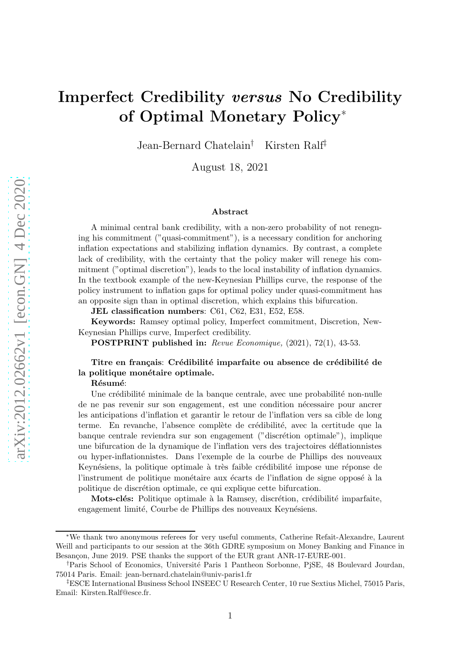# Imperfect Credibility versus No Credibility of Optimal Monetary Policy<sup>∗</sup>

Jean-Bernard Chatelain† Kirsten Ralf‡

August 18, 2021

#### Abstract

A minimal central bank credibility, with a non-zero probability of not renegning his commitment ("quasi-commitment"), is a necessary condition for anchoring inflation expectations and stabilizing inflation dynamics. By contrast, a complete lack of credibility, with the certainty that the policy maker will renege his commitment ("optimal discretion"), leads to the local instability of inflation dynamics. In the textbook example of the new-Keynesian Phillips curve, the response of the policy instrument to inflation gaps for optimal policy under quasi-commitment has an opposite sign than in optimal discretion, which explains this bifurcation.

JEL classification numbers: C61, C62, E31, E52, E58.

Keywords: Ramsey optimal policy, Imperfect commitment, Discretion, New-Keynesian Phillips curve, Imperfect credibility.

POSTPRINT published in: Revue Economique, (2021), 72(1), 43-53.

## Titre en français: Crédibilité imparfaite ou absence de crédibilité de la politique monétaire optimale.

#### Résumé:

Une crédibilité minimale de la banque centrale, avec une probabilité non-nulle de ne pas revenir sur son engagement, est une condition n´ecessaire pour ancrer les anticipations d'inflation et garantir le retour de l'inflation vers sa cible de long terme. En revanche, l'absence complète de crédibilité, avec la certitude que la banque centrale reviendra sur son engagement ("discrétion optimale"), implique une bifurcation de la dynamique de l'inflation vers des trajectoires d´eflationnistes ou hyper-inflationnistes. Dans l'exemple de la courbe de Phillips des nouveaux Keynésiens, la politique optimale à très faible crédibilité impose une réponse de l'instrument de politique monétaire aux écarts de l'inflation de signe opposé à la politique de discrétion optimale, ce qui explique cette bifurcation.

Mots-clés: Politique optimale à la Ramsey, discrétion, crédibilité imparfaite, engagement limité, Courbe de Phillips des nouveaux Keynésiens.

<sup>∗</sup>We thank two anonymous referees for very useful comments, Catherine Refait-Alexandre, Laurent Weill and participants to our session at the 36th GDRE symposium on Money Banking and Finance in Besançon, June 2019. PSE thanks the support of the EUR grant ANR-17-EURE-001.

<sup>&</sup>lt;sup>†</sup>Paris School of Economics, Université Paris 1 Pantheon Sorbonne, PjSE, 48 Boulevard Jourdan, 75014 Paris. Email: jean-bernard.chatelain@univ-paris1.fr

<sup>‡</sup>ESCE International Business School INSEEC U Research Center, 10 rue Sextius Michel, 75015 Paris, Email: Kirsten.Ralf@esce.fr.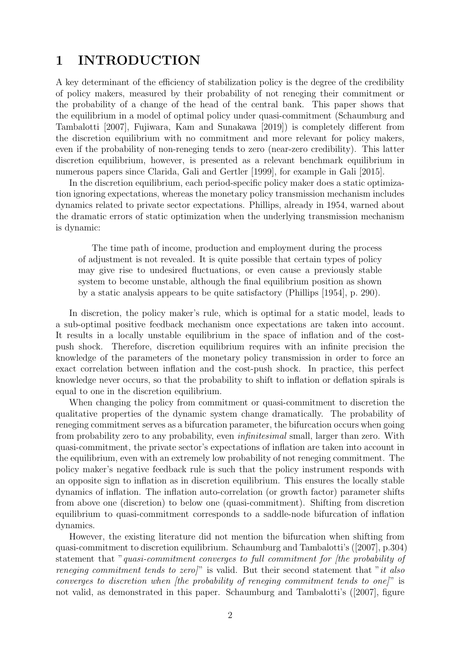## 1 INTRODUCTION

A key determinant of the efficiency of stabilization policy is the degree of the credibility of policy makers, measured by their probability of not reneging their commitment or the probability of a change of the head of the central bank. This paper shows that the equilibrium in a model of optimal policy under quasi-commitment (Schaumburg and Tambalotti [2007], Fujiwara, Kam and Sunakawa [2019]) is completely different from the discretion equilibrium with no commitment and more relevant for policy makers, even if the probability of non-reneging tends to zero (near-zero credibility). This latter discretion equilibrium, however, is presented as a relevant benchmark equilibrium in numerous papers since Clarida, Gali and Gertler [1999], for example in Gali [2015].

In the discretion equilibrium, each period-specific policy maker does a static optimization ignoring expectations, whereas the monetary policy transmission mechanism includes dynamics related to private sector expectations. Phillips, already in 1954, warned about the dramatic errors of static optimization when the underlying transmission mechanism is dynamic:

The time path of income, production and employment during the process of adjustment is not revealed. It is quite possible that certain types of policy may give rise to undesired fluctuations, or even cause a previously stable system to become unstable, although the final equilibrium position as shown by a static analysis appears to be quite satisfactory (Phillips [1954], p. 290).

In discretion, the policy maker's rule, which is optimal for a static model, leads to a sub-optimal positive feedback mechanism once expectations are taken into account. It results in a locally unstable equilibrium in the space of inflation and of the costpush shock. Therefore, discretion equilibrium requires with an infinite precision the knowledge of the parameters of the monetary policy transmission in order to force an exact correlation between inflation and the cost-push shock. In practice, this perfect knowledge never occurs, so that the probability to shift to inflation or deflation spirals is equal to one in the discretion equilibrium.

When changing the policy from commitment or quasi-commitment to discretion the qualitative properties of the dynamic system change dramatically. The probability of reneging commitment serves as a bifurcation parameter, the bifurcation occurs when going from probability zero to any probability, even *infinitesimal* small, larger than zero. With quasi-commitment, the private sector's expectations of inflation are taken into account in the equilibrium, even with an extremely low probability of not reneging commitment. The policy maker's negative feedback rule is such that the policy instrument responds with an opposite sign to inflation as in discretion equilibrium. This ensures the locally stable dynamics of inflation. The inflation auto-correlation (or growth factor) parameter shifts from above one (discretion) to below one (quasi-commitment). Shifting from discretion equilibrium to quasi-commitment corresponds to a saddle-node bifurcation of inflation dynamics.

However, the existing literature did not mention the bifurcation when shifting from quasi-commitment to discretion equilibrium. Schaumburg and Tambalotti's ([2007], p.304) statement that "*quasi-commitment converges to full commitment for [the probability of reneging commitment tends to zero]*" is valid. But their second statement that "*it also converges to discretion when [the probability of reneging commitment tends to one]*" is not valid, as demonstrated in this paper. Schaumburg and Tambalotti's ([2007], figure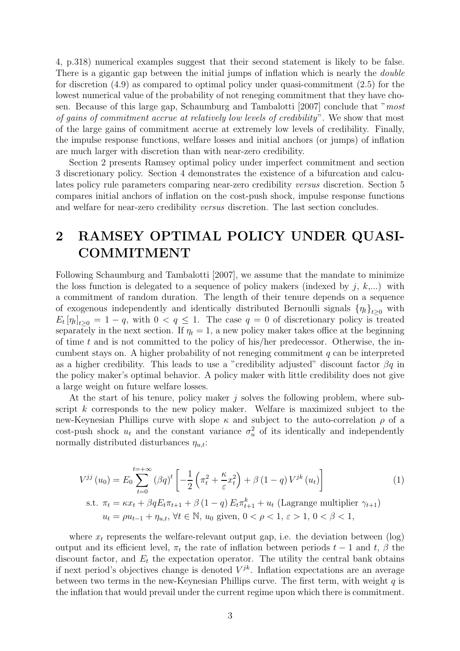4, p.318) numerical examples suggest that their second statement is likely to be false. There is a gigantic gap between the initial jumps of inflation which is nearly the *double* for discretion (4.9) as compared to optimal policy under quasi-commitment (2.5) for the lowest numerical value of the probability of not reneging commitment that they have chosen. Because of this large gap, Schaumburg and Tambalotti [2007] conclude that "*most of gains of commitment accrue at relatively low levels of credibility*". We show that most of the large gains of commitment accrue at extremely low levels of credibility. Finally, the impulse response functions, welfare losses and initial anchors (or jumps) of inflation are much larger with discretion than with near-zero credibility.

Section 2 presents Ramsey optimal policy under imperfect commitment and section 3 discretionary policy. Section 4 demonstrates the existence of a bifurcation and calculates policy rule parameters comparing near-zero credibility *versus* discretion. Section 5 compares initial anchors of inflation on the cost-push shock, impulse response functions and welfare for near-zero credibility *versus* discretion. The last section concludes.

# 2 RAMSEY OPTIMAL POLICY UNDER QUASI-COMMITMENT

Following Schaumburg and Tambalotti [2007], we assume that the mandate to minimize the loss function is delegated to a sequence of policy makers (indexed by  $j, k,...$ ) with a commitment of random duration. The length of their tenure depends on a sequence of exogenous independently and identically distributed Bernoulli signals  $\{\eta_t\}_{t>0}$  with  $E_t[\eta_t]_{t\geq0} = 1-q$ , with  $0 < q \leq 1$ . The case  $q = 0$  of discretionary policy is treated separately in the next section. If  $\eta_t = 1$ , a new policy maker takes office at the beginning of time  $t$  and is not committed to the policy of his/her predecessor. Otherwise, the incumbent stays on. A higher probability of not reneging commitment  $q$  can be interpreted as a higher credibility. This leads to use a "credibility adjusted" discount factor  $\beta q$  in the policy maker's optimal behavior. A policy maker with little credibility does not give a large weight on future welfare losses.

At the start of his tenure, policy maker  $j$  solves the following problem, where subscript k corresponds to the new policy maker. Welfare is maximized subject to the new-Keynesian Phillips curve with slope  $\kappa$  and subject to the auto-correlation  $\rho$  of a cost-push shock  $u_t$  and the constant variance  $\sigma_u^2$  of its identically and independently normally distributed disturbances  $\eta_{u,t}$ :

$$
V^{jj}(u_0) = E_0 \sum_{t=0}^{t=+\infty} (\beta q)^t \left[ -\frac{1}{2} \left( \pi_t^2 + \frac{\kappa}{\varepsilon} x_t^2 \right) + \beta (1-q) V^{jk}(u_t) \right]
$$
  
s.t.  $\pi_t = \kappa x_t + \beta q E_t \pi_{t+1} + \beta (1-q) E_t \pi_{t+1}^k + u_t$  (Lagrange multiplier  $\gamma_{t+1}$ )  
 $u_t = \rho u_{t-1} + \eta_{u,t}, \forall t \in \mathbb{N}, u_0 \text{ given, } 0 < \rho < 1, \varepsilon > 1, 0 < \beta < 1,$ 

where  $x_t$  represents the welfare-relevant output gap, i.e. the deviation between  $(\log)$ output and its efficient level,  $\pi_t$  the rate of inflation between periods  $t-1$  and  $t, \beta$  the discount factor, and  $E_t$  the expectation operator. The utility the central bank obtains if next period's objectives change is denoted  $V^{jk}$ . Inflation expectations are an average between two terms in the new-Keynesian Phillips curve. The first term, with weight  $q$  is the inflation that would prevail under the current regime upon which there is commitment.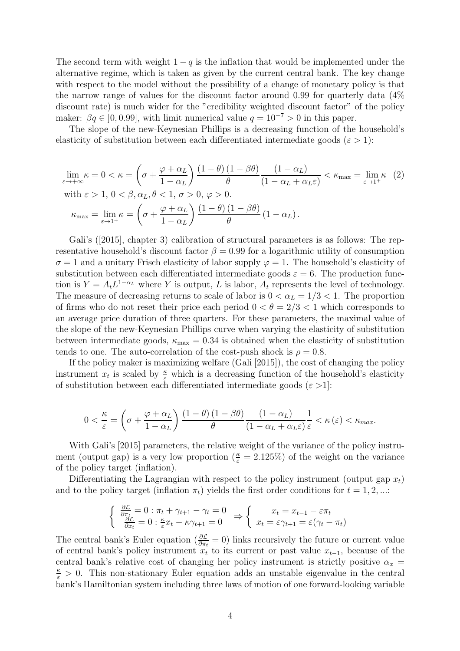The second term with weight  $1 - q$  is the inflation that would be implemented under the alternative regime, which is taken as given by the current central bank. The key change with respect to the model without the possibility of a change of monetary policy is that the narrow range of values for the discount factor around 0.99 for quarterly data (4% discount rate) is much wider for the "credibility weighted discount factor" of the policy maker:  $\beta q \in [0, 0.99]$ , with limit numerical value  $q = 10^{-7} > 0$  in this paper.

The slope of the new-Keynesian Phillips is a decreasing function of the household's elasticity of substitution between each differentiated intermediate goods ( $\varepsilon > 1$ ):

$$
\lim_{\varepsilon \to +\infty} \kappa = 0 < \kappa = \left(\sigma + \frac{\varphi + \alpha_L}{1 - \alpha_L}\right) \frac{(1 - \theta)(1 - \beta\theta)}{\theta} \frac{(1 - \alpha_L)}{(1 - \alpha_L + \alpha_L \varepsilon)} < \kappa_{\text{max}} = \lim_{\varepsilon \to 1^+} \kappa \tag{2}
$$
\n
$$
\text{with } \varepsilon > 1, 0 < \beta, \alpha_L, \theta < 1, \sigma > 0, \varphi > 0.
$$
\n
$$
\kappa_{\text{max}} = \lim_{\varepsilon \to 1^+} \kappa = \left(\sigma + \frac{\varphi + \alpha_L}{1 - \alpha_L}\right) \frac{(1 - \theta)(1 - \beta\theta)}{\theta} (1 - \alpha_L).
$$

Gali's ([2015], chapter 3) calibration of structural parameters is as follows: The representative household's discount factor  $\beta = 0.99$  for a logarithmic utility of consumption  $\sigma = 1$  and a unitary Frisch elasticity of labor supply  $\varphi = 1$ . The household's elasticity of substitution between each differentiated intermediate goods  $\varepsilon = 6$ . The production function is  $Y = A_t L^{1-\alpha_L}$  where Y is output, L is labor,  $A_t$  represents the level of technology. The measure of decreasing returns to scale of labor is  $0 < \alpha_L = 1/3 < 1$ . The proportion of firms who do not reset their price each period  $0 < \theta = 2/3 < 1$  which corresponds to an average price duration of three quarters. For these parameters, the maximal value of the slope of the new-Keynesian Phillips curve when varying the elasticity of substitution between intermediate goods,  $\kappa_{\text{max}} = 0.34$  is obtained when the elasticity of substitution tends to one. The auto-correlation of the cost-push shock is  $\rho = 0.8$ .

If the policy maker is maximizing welfare (Gali [2015]), the cost of changing the policy instrument  $x_t$  is scaled by  $\frac{\kappa}{\varepsilon}$  which is a decreasing function of the household's elasticity of substitution between each differentiated intermediate goods  $(\varepsilon > 1)$ :

$$
0 < \frac{\kappa}{\varepsilon} = \left(\sigma + \frac{\varphi + \alpha_L}{1 - \alpha_L}\right) \frac{\left(1 - \theta\right)\left(1 - \beta\theta\right)}{\theta} \frac{\left(1 - \alpha_L\right)}{\left(1 - \alpha_L + \alpha_L\varepsilon\right)} \frac{1}{\varepsilon} < \kappa\left(\varepsilon\right) < \kappa_{\text{max}}.
$$

With Gali's [2015] parameters, the relative weight of the variance of the policy instrument (output gap) is a very low proportion  $(\frac{\kappa}{\varepsilon} = 2.125\%)$  of the weight on the variance of the policy target (inflation).

Differentiating the Lagrangian with respect to the policy instrument (output gap  $x_t$ ) and to the policy target (inflation  $\pi_t$ ) yields the first order conditions for  $t = 1, 2, ...$ :

$$
\begin{cases} \frac{\partial \mathcal{L}}{\partial \pi_t} = 0 : \pi_t + \gamma_{t+1} - \gamma_t = 0\\ \frac{\partial \mathcal{L}}{\partial x_t} = 0 : \frac{\kappa}{\varepsilon} x_t - \kappa \gamma_{t+1} = 0 \end{cases} \Rightarrow \begin{cases} x_t = x_{t-1} - \varepsilon \pi_t\\ x_t = \varepsilon \gamma_{t+1} = \varepsilon (\gamma_t - \pi_t) \end{cases}
$$

The central bank's Euler equation ( $\frac{\partial \mathcal{L}}{\partial \pi_t} = 0$ ) links recursively the future or current value of central bank's policy instrument  $x_t$  to its current or past value  $x_{t-1}$ , because of the central bank's relative cost of changing her policy instrument is strictly positive  $\alpha_x =$  $\frac{\kappa}{\varepsilon} > 0$ . This non-stationary Euler equation adds an unstable eigenvalue in the central bank's Hamiltonian system including three laws of motion of one forward-looking variable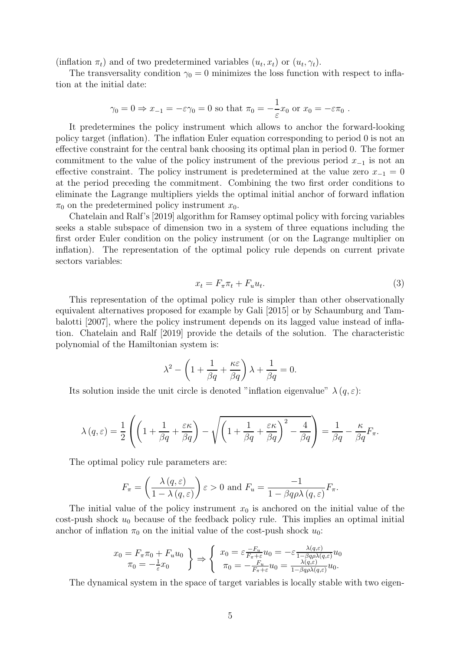(inflation  $\pi_t$ ) and of two predetermined variables  $(u_t, x_t)$  or  $(u_t, \gamma_t)$ .

The transversality condition  $\gamma_0 = 0$  minimizes the loss function with respect to inflation at the initial date:

$$
\gamma_0 = 0 \Rightarrow x_{-1} = -\varepsilon \gamma_0 = 0
$$
 so that  $\pi_0 = -\frac{1}{\varepsilon} x_0$  or  $x_0 = -\varepsilon \pi_0$ .

It predetermines the policy instrument which allows to anchor the forward-looking policy target (inflation). The inflation Euler equation corresponding to period 0 is not an effective constraint for the central bank choosing its optimal plan in period 0. The former commitment to the value of the policy instrument of the previous period  $x_{-1}$  is not an effective constraint. The policy instrument is predetermined at the value zero  $x_{-1} = 0$ at the period preceding the commitment. Combining the two first order conditions to eliminate the Lagrange multipliers yields the optimal initial anchor of forward inflation  $\pi_0$  on the predetermined policy instrument  $x_0$ .

Chatelain and Ralf's [2019] algorithm for Ramsey optimal policy with forcing variables seeks a stable subspace of dimension two in a system of three equations including the first order Euler condition on the policy instrument (or on the Lagrange multiplier on inflation). The representation of the optimal policy rule depends on current private sectors variables:

$$
x_t = F_{\pi}\pi_t + F_u u_t. \tag{3}
$$

This representation of the optimal policy rule is simpler than other observationally equivalent alternatives proposed for example by Gali [2015] or by Schaumburg and Tambalotti [2007], where the policy instrument depends on its lagged value instead of inflation. Chatelain and Ralf [2019] provide the details of the solution. The characteristic polynomial of the Hamiltonian system is:

$$
\lambda^2 - \left(1 + \frac{1}{\beta q} + \frac{\kappa \varepsilon}{\beta q}\right)\lambda + \frac{1}{\beta q} = 0.
$$

Its solution inside the unit circle is denoted "inflation eigenvalue"  $\lambda(q,\varepsilon)$ :

$$
\lambda(q,\varepsilon) = \frac{1}{2} \left( \left( 1 + \frac{1}{\beta q} + \frac{\varepsilon \kappa}{\beta q} \right) - \sqrt{\left( 1 + \frac{1}{\beta q} + \frac{\varepsilon \kappa}{\beta q} \right)^2 - \frac{4}{\beta q}} \right) = \frac{1}{\beta q} - \frac{\kappa}{\beta q} F_{\pi}.
$$

The optimal policy rule parameters are:

$$
F_{\pi} = \left(\frac{\lambda(q,\varepsilon)}{1-\lambda(q,\varepsilon)}\right)\varepsilon > 0 \text{ and } F_u = \frac{-1}{1-\beta q \rho \lambda(q,\varepsilon)} F_{\pi}.
$$

The initial value of the policy instrument  $x_0$  is anchored on the initial value of the cost-push shock  $u_0$  because of the feedback policy rule. This implies an optimal initial anchor of inflation  $\pi_0$  on the initial value of the cost-push shock  $u_0$ :

$$
x_0 = F_{\pi}\pi_0 + F_u u_0
$$
  
\n
$$
\pi_0 = -\frac{1}{\varepsilon}x_0
$$
\n
$$
\left\{\n\begin{array}{l}\nx_0 = \varepsilon \frac{-F_u}{F_{\pi} + \varepsilon} u_0 = -\varepsilon \frac{\lambda(q, \varepsilon)}{1 - \beta q \rho \lambda(q, \varepsilon)} u_0 \\
\pi_0 = -\frac{F_u}{F_{\pi} + \varepsilon} u_0 = \frac{\lambda(q, \varepsilon)}{1 - \beta q \rho \lambda(q, \varepsilon)} u_0.\n\end{array}\n\right.
$$

The dynamical system in the space of target variables is locally stable with two eigen-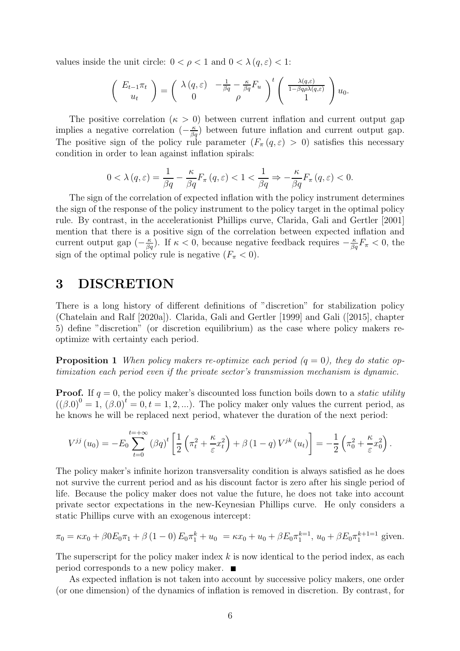values inside the unit circle:  $0 < \rho < 1$  and  $0 < \lambda (q, \varepsilon) < 1$ :

$$
\begin{pmatrix} E_{t-1}\pi_t \\ u_t \end{pmatrix} = \begin{pmatrix} \lambda(q,\varepsilon) & -\frac{1}{\beta q} - \frac{\kappa}{\beta q}F_u \\ 0 & \rho \end{pmatrix}^t \begin{pmatrix} \frac{\lambda(q,\varepsilon)}{1-\beta q\rho\lambda(q,\varepsilon)} \\ 1 \end{pmatrix} u_0.
$$

The positive correlation ( $\kappa > 0$ ) between current inflation and current output gap implies a negative correlation  $\left(-\frac{\kappa}{\beta q}\right)$  between future inflation and current output gap. The positive sign of the policy rule parameter  $(F_\pi(q,\varepsilon) > 0)$  satisfies this necessary condition in order to lean against inflation spirals:

$$
0 < \lambda (q, \varepsilon) = \frac{1}{\beta q} - \frac{\kappa}{\beta q} F_{\pi} (q, \varepsilon) < 1 < \frac{1}{\beta q} \Rightarrow -\frac{\kappa}{\beta q} F_{\pi} (q, \varepsilon) < 0.
$$

The sign of the correlation of expected inflation with the policy instrument determines the sign of the response of the policy instrument to the policy target in the optimal policy rule. By contrast, in the accelerationist Phillips curve, Clarida, Gali and Gertler [2001] mention that there is a positive sign of the correlation between expected inflation and current output gap  $(-\frac{\kappa}{\beta q})$ . If  $\kappa < 0$ , because negative feedback requires  $-\frac{\kappa}{\beta q}F_{\pi} < 0$ , the sign of the optimal policy rule is negative  $(F_{\pi} < 0)$ .

## 3 DISCRETION

There is a long history of different definitions of "discretion" for stabilization policy (Chatelain and Ralf [2020a]). Clarida, Gali and Gertler [1999] and Gali ([2015], chapter 5) define "discretion" (or discretion equilibrium) as the case where policy makers reoptimize with certainty each period.

**Proposition 1** When policy makers re-optimize each period  $(q = 0)$ , they do static op*timization each period even if the private sector's transmission mechanism is dynamic.*

**Proof.** If  $q = 0$ , the policy maker's discounted loss function boils down to a *static utility*  $((\beta.0)^0 = 1, (\beta.0)^t = 0, t = 1, 2, \ldots)$ . The policy maker only values the current period, as he knows he will be replaced next period, whatever the duration of the next period:

$$
V^{jj}(u_0) = -E_0 \sum_{t=0}^{t=+\infty} (\beta q)^t \left[ \frac{1}{2} \left( \pi_t^2 + \frac{\kappa}{\varepsilon} x_t^2 \right) + \beta (1-q) V^{jk}(u_t) \right] = -\frac{1}{2} \left( \pi_0^2 + \frac{\kappa}{\varepsilon} x_0^2 \right).
$$

The policy maker's infinite horizon transversality condition is always satisfied as he does not survive the current period and as his discount factor is zero after his single period of life. Because the policy maker does not value the future, he does not take into account private sector expectations in the new-Keynesian Phillips curve. He only considers a static Phillips curve with an exogenous intercept:

$$
\pi_0 = \kappa x_0 + \beta 0 E_0 \pi_1 + \beta (1 - 0) E_0 \pi_1^k + u_0 = \kappa x_0 + u_0 + \beta E_0 \pi_1^{k-1}, u_0 + \beta E_0 \pi_1^{k+1-1} \text{ given.}
$$

The superscript for the policy maker index  $k$  is now identical to the period index, as each period corresponds to a new policy maker.

As expected inflation is not taken into account by successive policy makers, one order (or one dimension) of the dynamics of inflation is removed in discretion. By contrast, for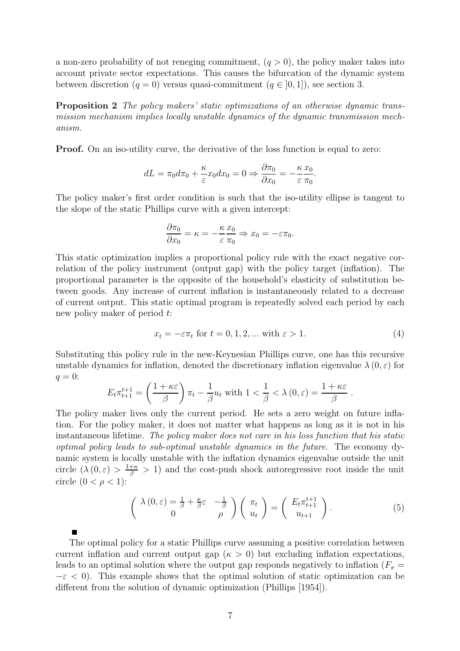a non-zero probability of not reneging commitment,  $(q > 0)$ , the policy maker takes into account private sector expectations. This causes the bifurcation of the dynamic system between discretion  $(q = 0)$  versus quasi-commitment  $(q \in [0, 1])$ , see section 3.

Proposition 2 *The policy makers' static optimizations of an otherwise dynamic transmission mechanism implies locally unstable dynamics of the dynamic transmission mechanism.*

Proof. On an iso-utility curve, the derivative of the loss function is equal to zero:

$$
dL = \pi_0 d\pi_0 + \frac{\kappa}{\varepsilon} x_0 dx_0 = 0 \Rightarrow \frac{\partial \pi_0}{\partial x_0} = -\frac{\kappa}{\varepsilon} \frac{x_0}{\pi_0}.
$$

The policy maker's first order condition is such that the iso-utility ellipse is tangent to the slope of the static Phillips curve with a given intercept:

$$
\frac{\partial \pi_0}{\partial x_0} = \kappa = -\frac{\kappa}{\varepsilon} \frac{x_0}{\pi_0} \Rightarrow x_0 = -\varepsilon \pi_0.
$$

This static optimization implies a proportional policy rule with the exact negative correlation of the policy instrument (output gap) with the policy target (inflation). The proportional parameter is the opposite of the household's elasticity of substitution between goods. Any increase of current inflation is instantaneously related to a decrease of current output. This static optimal program is repeatedly solved each period by each new policy maker of period t:

$$
x_t = -\varepsilon \pi_t \text{ for } t = 0, 1, 2, \dots \text{ with } \varepsilon > 1. \tag{4}
$$

.

Substituting this policy rule in the new-Keynesian Phillips curve, one has this recursive unstable dynamics for inflation, denoted the discretionary inflation eigenvalue  $\lambda(0,\varepsilon)$  for  $q=0$ :

$$
E_t \pi_{t+1}^{t+1} = \left(\frac{1+\kappa \varepsilon}{\beta}\right) \pi_t - \frac{1}{\beta} u_t \text{ with } 1 < \frac{1}{\beta} < \lambda(0, \varepsilon) = \frac{1+\kappa \varepsilon}{\beta}
$$

The policy maker lives only the current period. He sets a zero weight on future inflation. For the policy maker, it does not matter what happens as long as it is not in his instantaneous lifetime. *The policy maker does not care in his loss function that his static optimal policy leads to sub-optimal unstable dynamics in the future.* The economy dynamic system is locally unstable with the inflation dynamics eigenvalue outside the unit circle  $(\lambda(0, \varepsilon) > \frac{1+\kappa}{\beta} > 1)$  and the cost-push shock autoregressive root inside the unit circle  $(0 < \rho < 1)$ :

$$
\begin{pmatrix}\n\lambda(0,\varepsilon) = \frac{1}{\beta} + \frac{\kappa}{\beta}\varepsilon & -\frac{1}{\beta} \\
0 & \rho\n\end{pmatrix}\n\begin{pmatrix}\n\pi_t \\
u_t\n\end{pmatrix} =\n\begin{pmatrix}\nE_t \pi_{t+1}^{t+1} \\
u_{t+1}\n\end{pmatrix}.
$$
\n(5)

The optimal policy for a static Phillips curve assuming a positive correlation between current inflation and current output gap ( $\kappa > 0$ ) but excluding inflation expectations, leads to an optimal solution where the output gap responds negatively to inflation  $(F_\pi =$  $-\varepsilon$  < 0). This example shows that the optimal solution of static optimization can be different from the solution of dynamic optimization (Phillips [1954]).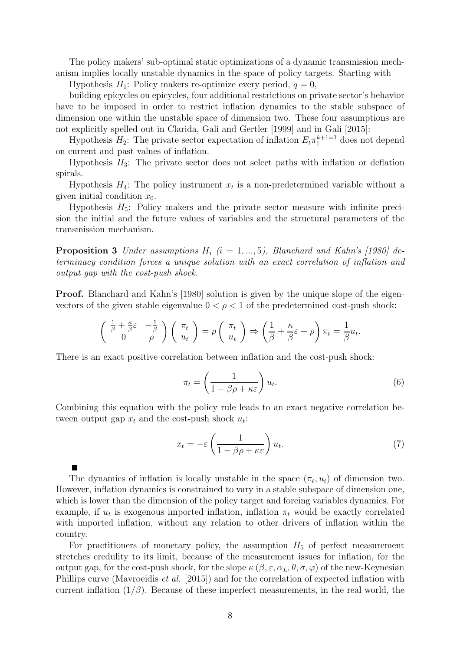The policy makers' sub-optimal static optimizations of a dynamic transmission mechanism implies locally unstable dynamics in the space of policy targets. Starting with

Hypothesis  $H_1$ : Policy makers re-optimize every period,  $q = 0$ ,

building epicycles on epicycles, four additional restrictions on private sector's behavior have to be imposed in order to restrict inflation dynamics to the stable subspace of dimension one within the unstable space of dimension two. These four assumptions are not explicitly spelled out in Clarida, Gali and Gertler [1999] and in Gali [2015]:

Hypothesis  $H_2$ : The private sector expectation of inflation  $E_t \pi_1^{k+1=1}$  does not depend on current and past values of inflation.

Hypothesis  $H_3$ : The private sector does not select paths with inflation or deflation spirals.

Hypothesis  $H_4$ : The policy instrument  $x_t$  is a non-predetermined variable without a given initial condition  $x_0$ .

Hypothesis  $H_5$ : Policy makers and the private sector measure with infinite precision the initial and the future values of variables and the structural parameters of the transmission mechanism.

**Proposition 3** *Under assumptions*  $H_i$  ( $i = 1, ..., 5$ ), *Blanchard and Kahn's* [1980] de*terminacy condition forces a unique solution with an exact correlation of inflation and output gap with the cost-push shock.*

Proof. Blanchard and Kahn's [1980] solution is given by the unique slope of the eigenvectors of the given stable eigenvalue  $0 < \rho < 1$  of the predetermined cost-push shock:

$$
\begin{pmatrix}\n\frac{1}{\beta} + \frac{\kappa}{\beta} \varepsilon & -\frac{1}{\beta} \\
0 & \rho\n\end{pmatrix}\n\begin{pmatrix}\n\pi_t \\
u_t\n\end{pmatrix} = \rho \begin{pmatrix}\n\pi_t \\
u_t\n\end{pmatrix} \Rightarrow \begin{pmatrix}\n\frac{1}{\beta} + \frac{\kappa}{\beta} \varepsilon - \rho\n\end{pmatrix}\n\pi_t = \frac{1}{\beta} u_t.
$$

There is an exact positive correlation between inflation and the cost-push shock:

$$
\pi_t = \left(\frac{1}{1 - \beta \rho + \kappa \varepsilon}\right) u_t.
$$
\n(6)

Combining this equation with the policy rule leads to an exact negative correlation between output gap  $x_t$  and the cost-push shock  $u_t$ :

$$
x_t = -\varepsilon \left( \frac{1}{1 - \beta \rho + \kappa \varepsilon} \right) u_t.
$$
 (7)

The dynamics of inflation is locally unstable in the space  $(\pi_t, u_t)$  of dimension two. However, inflation dynamics is constrained to vary in a stable subspace of dimension one, which is lower than the dimension of the policy target and forcing variables dynamics. For example, if  $u_t$  is exogenous imported inflation, inflation  $\pi_t$  would be exactly correlated with imported inflation, without any relation to other drivers of inflation within the country.

For practitioners of monetary policy, the assumption  $H_5$  of perfect measurement stretches credulity to its limit, because of the measurement issues for inflation, for the output gap, for the cost-push shock, for the slope  $\kappa(\beta, \varepsilon, \alpha_L, \theta, \sigma, \varphi)$  of the new-Keynesian Phillips curve (Mavroeidis *et al.* [2015]) and for the correlation of expected inflation with current inflation  $(1/\beta)$ . Because of these imperfect measurements, in the real world, the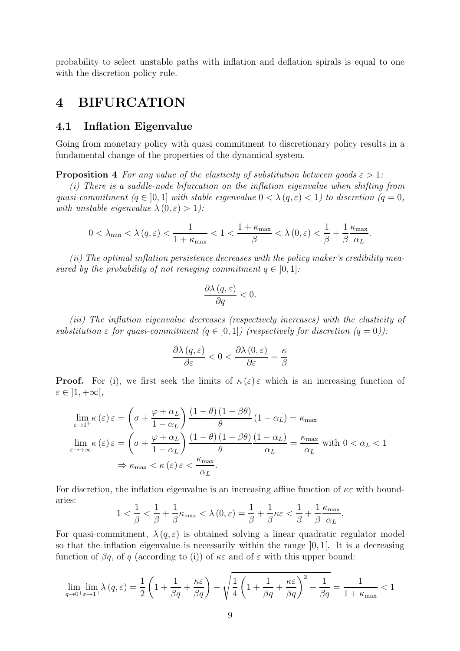probability to select unstable paths with inflation and deflation spirals is equal to one with the discretion policy rule.

## 4 BIFURCATION

### 4.1 Inflation Eigenvalue

Going from monetary policy with quasi commitment to discretionary policy results in a fundamental change of the properties of the dynamical system.

**Proposition 4** *For any value of the elasticity of substitution between goods*  $\varepsilon > 1$ *:* 

*(i) There is a saddle-node bifurcation on the inflation eigenvalue when shifting from quasi-commitment*  $(q \in [0, 1]$  *with stable eigenvalue*  $0 < \lambda (q, \varepsilon) < 1$ *) to discretion*  $(q = 0, 1]$ *with unstable eigenvalue*  $\lambda(0, \varepsilon) > 1$ *):* 

$$
0<\lambda_{\min}<\lambda\left(q,\varepsilon\right)<\frac{1}{1+\kappa_{\max}}<1<\frac{1+\kappa_{\max}}{\beta}<\lambda\left(0,\varepsilon\right)<\frac{1}{\beta}+\frac{1}{\beta}\frac{\kappa_{\max}}{\alpha_{L}}.
$$

*(ii) The optimal inflation persistence decreases with the policy maker's credibility measured by the probability of not reneging commitment*  $q \in [0, 1]$ :

$$
\frac{\partial \lambda (q, \varepsilon)}{\partial q} < 0.
$$

*(iii) The inflation eigenvalue decreases (respectively increases) with the elasticity of substitution*  $\varepsilon$  *for quasi-commitment*  $(q \in [0, 1])$  (respectively for discretion  $(q = 0)$ ):

$$
\frac{\partial \lambda (q, \varepsilon)}{\partial \varepsilon} < 0 < \frac{\partial \lambda (0, \varepsilon)}{\partial \varepsilon} = \frac{\kappa}{\beta}
$$

**Proof.** For (i), we first seek the limits of  $\kappa(\varepsilon) \varepsilon$  which is an increasing function of  $\varepsilon \in \left] 1, +\infty \right[,$ 

$$
\lim_{\varepsilon \to 1^{+}} \kappa(\varepsilon) \varepsilon = \left(\sigma + \frac{\varphi + \alpha_{L}}{1 - \alpha_{L}}\right) \frac{(1 - \theta)(1 - \beta\theta)}{\theta} (1 - \alpha_{L}) = \kappa_{\max}
$$
\n
$$
\lim_{\varepsilon \to +\infty} \kappa(\varepsilon) \varepsilon = \left(\sigma + \frac{\varphi + \alpha_{L}}{1 - \alpha_{L}}\right) \frac{(1 - \theta)(1 - \beta\theta)}{\theta} \frac{(1 - \alpha_{L})}{\alpha_{L}} = \frac{\kappa_{\max}}{\alpha_{L}} \text{ with } 0 < \alpha_{L} < 1
$$
\n
$$
\Rightarrow \kappa_{\max} < \kappa(\varepsilon) \varepsilon < \frac{\kappa_{\max}}{\alpha_{L}}.
$$

For discretion, the inflation eigenvalue is an increasing affine function of  $\kappa \varepsilon$  with boundaries:

$$
1 < \frac{1}{\beta} < \frac{1}{\beta} + \frac{1}{\beta} \kappa_{\max} < \lambda(0, \varepsilon) = \frac{1}{\beta} + \frac{1}{\beta} \kappa \varepsilon < \frac{1}{\beta} + \frac{1}{\beta} \frac{\kappa_{\max}}{\alpha_L}.
$$

For quasi-commitment,  $\lambda(q,\varepsilon)$  is obtained solving a linear quadratic regulator model so that the inflation eigenvalue is necessarily within the range ]0, 1[. It is a decreasing function of  $\beta q$ , of q (according to (i)) of  $\kappa \varepsilon$  and of  $\varepsilon$  with this upper bound:

$$
\lim_{q \to 0^+ \varepsilon \to 1^+} \lambda(q, \varepsilon) = \frac{1}{2} \left( 1 + \frac{1}{\beta q} + \frac{\kappa \varepsilon}{\beta q} \right) - \sqrt{\frac{1}{4} \left( 1 + \frac{1}{\beta q} + \frac{\kappa \varepsilon}{\beta q} \right)^2 - \frac{1}{\beta q}} = \frac{1}{1 + \kappa_{\text{max}}} < 1
$$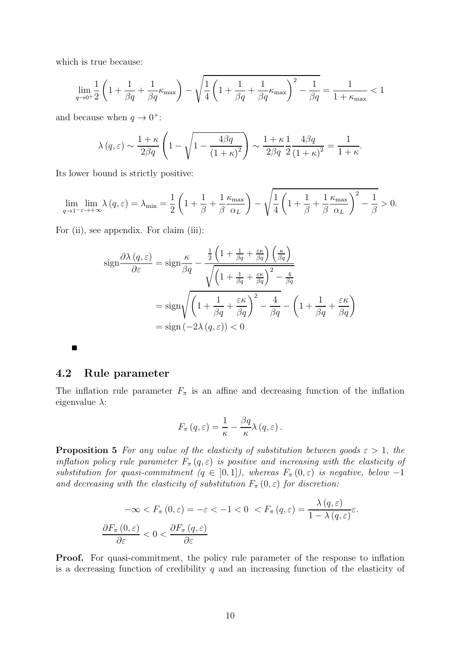which is true because:

$$
\lim_{q\to 0^+}\frac{1}{2}\left(1+\frac{1}{\beta q}+\frac{1}{\beta q}\kappa_{\max}\right)-\sqrt{\frac{1}{4}\left(1+\frac{1}{\beta q}+\frac{1}{\beta q}\kappa_{\max}\right)^2-\frac{1}{\beta q}}=\frac{1}{1+\kappa_{\max}}<1
$$

and because when  $q \to 0^+$ :

$$
\lambda(q,\varepsilon) \sim \frac{1+\kappa}{2\beta q} \left(1 - \sqrt{1 - \frac{4\beta q}{(1+\kappa)^2}}\right) \sim \frac{1+\kappa}{2\beta q} \frac{1}{2} \frac{4\beta q}{(1+\kappa)^2} = \frac{1}{1+\kappa}.
$$

Its lower bound is strictly positive:

$$
\lim_{q \to 1^{-} \varepsilon \to +\infty} \lambda(q, \varepsilon) = \lambda_{\min} = \frac{1}{2} \left( 1 + \frac{1}{\beta} + \frac{1}{\beta} \frac{\kappa_{\max}}{\alpha_L} \right) - \sqrt{\frac{1}{4} \left( 1 + \frac{1}{\beta} + \frac{1}{\beta} \frac{\kappa_{\max}}{\alpha_L} \right)^2 - \frac{1}{\beta}} > 0.
$$

For (ii), see appendix. For claim (iii):

$$
\operatorname{sign} \frac{\partial \lambda (q, \varepsilon)}{\partial \varepsilon} = \operatorname{sign} \frac{\kappa}{\beta q} - \frac{\frac{1}{2} \left( 1 + \frac{1}{\beta q} + \frac{\varepsilon \kappa}{\beta q} \right) \left( \frac{\kappa}{\beta q} \right)}{\sqrt{\left( 1 + \frac{1}{\beta q} + \frac{\varepsilon \kappa}{\beta q} \right)^2 - \frac{4}{\beta q}}}
$$
\n
$$
= \operatorname{sign} \sqrt{\left( 1 + \frac{1}{\beta q} + \frac{\varepsilon \kappa}{\beta q} \right)^2 - \frac{4}{\beta q}} - \left( 1 + \frac{1}{\beta q} + \frac{\varepsilon \kappa}{\beta q} \right)
$$
\n
$$
= \operatorname{sign} \left( -2\lambda (q, \varepsilon) \right) < 0
$$

4.2 Rule parameter

П

The inflation rule parameter  $F_{\pi}$  is an affine and decreasing function of the inflation eigenvalue  $\lambda$ :

$$
F_{\pi}(q,\varepsilon) = \frac{1}{\kappa} - \frac{\beta q}{\kappa} \lambda(q,\varepsilon).
$$

**Proposition 5** *For any value of the elasticity of substitution between goods*  $\varepsilon > 1$ *, the inflation policy rule parameter*  $F_{\pi}(q, \varepsilon)$  *is positive and increasing with the elasticity of substitution for quasi-commitment*  $(q \in [0, 1])$ *, whereas*  $F_{\pi}(0, \varepsilon)$  *is negative, below* −1 *and decreasing with the elasticity of substitution*  $F_{\pi}(0,\varepsilon)$  *for discretion:* 

$$
-\infty < F_{\pi}(0, \varepsilon) = -\varepsilon < -1 < 0 < F_{\pi}(q, \varepsilon) = \frac{\lambda(q, \varepsilon)}{1 - \lambda(q, \varepsilon)} \varepsilon.
$$
\n
$$
\frac{\partial F_{\pi}(0, \varepsilon)}{\partial \varepsilon} < 0 < \frac{\partial F_{\pi}(q, \varepsilon)}{\partial \varepsilon}
$$

Proof. For quasi-commitment, the policy rule parameter of the response to inflation is a decreasing function of credibility  $q$  and an increasing function of the elasticity of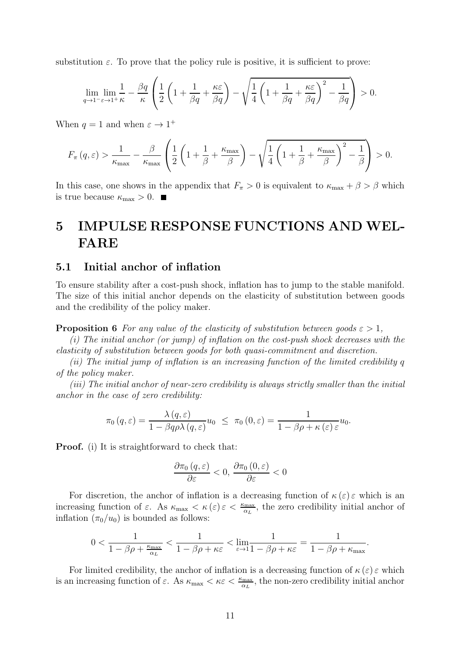substitution  $\varepsilon$ . To prove that the policy rule is positive, it is sufficient to prove:

$$
\lim_{q \to 1^- \varepsilon \to 1^+ \kappa} \frac{1}{\kappa} - \frac{\beta q}{\kappa} \left( \frac{1}{2} \left( 1 + \frac{1}{\beta q} + \frac{\kappa \varepsilon}{\beta q} \right) - \sqrt{\frac{1}{4} \left( 1 + \frac{1}{\beta q} + \frac{\kappa \varepsilon}{\beta q} \right)^2 - \frac{1}{\beta q}} \right) > 0.
$$

When  $q = 1$  and when  $\varepsilon \to 1^+$ 

$$
F_{\pi}(q,\varepsilon) > \frac{1}{\kappa_{\max}} - \frac{\beta}{\kappa_{\max}} \left( \frac{1}{2} \left( 1 + \frac{1}{\beta} + \frac{\kappa_{\max}}{\beta} \right) - \sqrt{\frac{1}{4} \left( 1 + \frac{1}{\beta} + \frac{\kappa_{\max}}{\beta} \right)^2 - \frac{1}{\beta}} \right) > 0.
$$

In this case, one shows in the appendix that  $F_{\pi} > 0$  is equivalent to  $\kappa_{\max} + \beta > \beta$  which is true because  $\kappa_{\text{max}} > 0$ .

# 5 IMPULSE RESPONSE FUNCTIONS AND WEL-FARE

## 5.1 Initial anchor of inflation

To ensure stability after a cost-push shock, inflation has to jump to the stable manifold. The size of this initial anchor depends on the elasticity of substitution between goods and the credibility of the policy maker.

**Proposition 6** *For any value of the elasticity of substitution between goods*  $\varepsilon > 1$ *,* 

*(i) The initial anchor (or jump) of inflation on the cost-push shock decreases with the elasticity of substitution between goods for both quasi-commitment and discretion.*

*(ii) The initial jump of inflation is an increasing function of the limited credibility* q *of the policy maker.*

*(iii) The initial anchor of near-zero credibility is always strictly smaller than the initial anchor in the case of zero credibility:*

$$
\pi_0(q,\varepsilon) = \frac{\lambda(q,\varepsilon)}{1 - \beta q \rho \lambda(q,\varepsilon)} u_0 \leq \pi_0(0,\varepsilon) = \frac{1}{1 - \beta \rho + \kappa(\varepsilon) \varepsilon} u_0.
$$

Proof. (i) It is straightforward to check that:

$$
\frac{\partial \pi_0(q,\varepsilon)}{\partial \varepsilon} < 0, \, \frac{\partial \pi_0(0,\varepsilon)}{\partial \varepsilon} < 0
$$

For discretion, the anchor of inflation is a decreasing function of  $\kappa(\varepsilon) \varepsilon$  which is an increasing function of  $\varepsilon$ . As  $\kappa_{\max} < \kappa(\varepsilon) \varepsilon < \frac{\kappa_{\max}}{\alpha_L}$ , the zero credibility initial anchor of inflation  $(\pi_0/u_0)$  is bounded as follows:

$$
0<\frac{1}{1-\beta\rho+\frac{\kappa_{\max}}{\alpha_L}}<\frac{1}{1-\beta\rho+\kappa\varepsilon}<\lim_{\varepsilon\to 1}\frac{1}{1-\beta\rho+\kappa\varepsilon}=\frac{1}{1-\beta\rho+\kappa_{\max}}.
$$

For limited credibility, the anchor of inflation is a decreasing function of  $\kappa(\varepsilon) \varepsilon$  which is an increasing function of  $\varepsilon$ . As  $\kappa_{\max} < \kappa \varepsilon < \frac{\kappa_{\max}}{\alpha_L}$ , the non-zero credibility initial anchor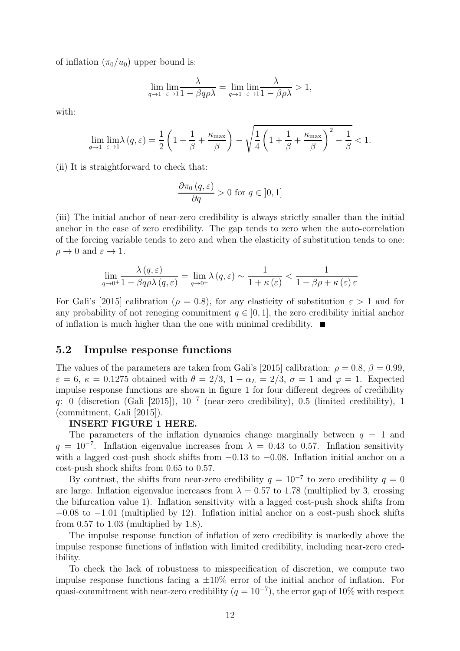of inflation  $(\pi_0/u_0)$  upper bound is:

$$
\lim_{q \to 1^{-} \varepsilon \to 1} \frac{\lambda}{1 - \beta q \rho \lambda} = \lim_{q \to 1^{-} \varepsilon \to 1} \frac{\lambda}{1 - \beta \rho \lambda} > 1,
$$

with:

$$
\lim_{q \to 1^{-\varepsilon}} \lim_{\varepsilon \to 1} \lambda(q, \varepsilon) = \frac{1}{2} \left( 1 + \frac{1}{\beta} + \frac{\kappa_{\max}}{\beta} \right) - \sqrt{\frac{1}{4} \left( 1 + \frac{1}{\beta} + \frac{\kappa_{\max}}{\beta} \right)^2 - \frac{1}{\beta}} < 1.
$$

(ii) It is straightforward to check that:

$$
\frac{\partial \pi_0(q,\varepsilon)}{\partial q} > 0 \text{ for } q \in [0,1]
$$

(iii) The initial anchor of near-zero credibility is always strictly smaller than the initial anchor in the case of zero credibility. The gap tends to zero when the auto-correlation of the forcing variable tends to zero and when the elasticity of substitution tends to one:  $\rho \to 0$  and  $\varepsilon \to 1$ .

$$
\lim_{q \to 0^+} \frac{\lambda(q, \varepsilon)}{1 - \beta q \rho \lambda(q, \varepsilon)} = \lim_{q \to 0^+} \lambda(q, \varepsilon) \sim \frac{1}{1 + \kappa(\varepsilon)} < \frac{1}{1 - \beta \rho + \kappa(\varepsilon) \varepsilon}
$$

For Gali's [2015] calibration ( $\rho = 0.8$ ), for any elasticity of substitution  $\varepsilon > 1$  and for any probability of not reneging commitment  $q \in [0, 1]$ , the zero credibility initial anchor of inflation is much higher than the one with minimal credibility.  $\blacksquare$ 

### 5.2 Impulse response functions

The values of the parameters are taken from Gali's [2015] calibration:  $\rho = 0.8$ ,  $\beta = 0.99$ ,  $\varepsilon = 6$ ,  $\kappa = 0.1275$  obtained with  $\theta = 2/3$ ,  $1 - \alpha_L = 2/3$ ,  $\sigma = 1$  and  $\varphi = 1$ . Expected impulse response functions are shown in figure 1 for four different degrees of credibility q: 0 (discretion (Gali [2015]),  $10^{-7}$  (near-zero credibility), 0.5 (limited credibility), 1 (commitment, Gali [2015]).

#### INSERT FIGURE 1 HERE.

The parameters of the inflation dynamics change marginally between  $q = 1$  and  $q = 10^{-7}$ . Inflation eigenvalue increases from  $\lambda = 0.43$  to 0.57. Inflation sensitivity with a lagged cost-push shock shifts from  $-0.13$  to  $-0.08$ . Inflation initial anchor on a cost-push shock shifts from 0.65 to 0.57.

By contrast, the shifts from near-zero credibility  $q = 10^{-7}$  to zero credibility  $q = 0$ are large. Inflation eigenvalue increases from  $\lambda = 0.57$  to 1.78 (multiplied by 3, crossing the bifurcation value 1). Inflation sensitivity with a lagged cost-push shock shifts from  $-0.08$  to  $-1.01$  (multiplied by 12). Inflation initial anchor on a cost-push shock shifts from  $0.57$  to  $1.03$  (multiplied by  $1.8$ ).

The impulse response function of inflation of zero credibility is markedly above the impulse response functions of inflation with limited credibility, including near-zero credibility.

To check the lack of robustness to misspecification of discretion, we compute two impulse response functions facing a  $\pm 10\%$  error of the initial anchor of inflation. For quasi-commitment with near-zero credibility  $(q = 10^{-7})$ , the error gap of 10% with respect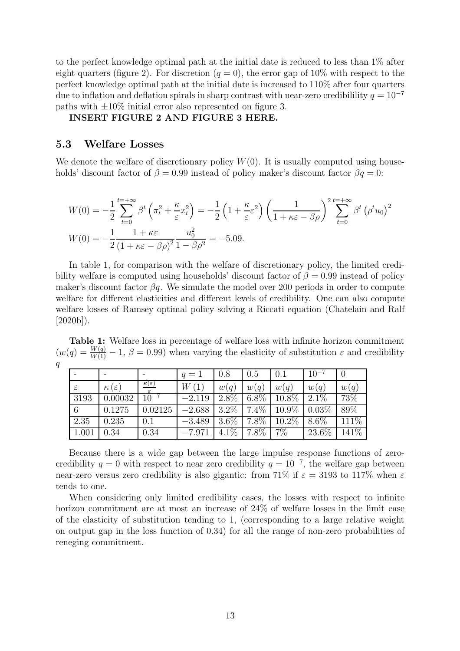to the perfect knowledge optimal path at the initial date is reduced to less than 1% after eight quarters (figure 2). For discretion  $(q = 0)$ , the error gap of 10% with respect to the perfect knowledge optimal path at the initial date is increased to 110% after four quarters due to inflation and deflation spirals in sharp contrast with near-zero credibilility  $q = 10^{-7}$ paths with  $\pm 10\%$  initial error also represented on figure 3.

### INSERT FIGURE 2 AND FIGURE 3 HERE.

## 5.3 Welfare Losses

We denote the welfare of discretionary policy  $W(0)$ . It is usually computed using households' discount factor of  $\beta = 0.99$  instead of policy maker's discount factor  $\beta q = 0$ :

$$
W(0) = -\frac{1}{2} \sum_{t=0}^{t=+\infty} \beta^t \left(\pi_t^2 + \frac{\kappa}{\varepsilon} x_t^2\right) = -\frac{1}{2} \left(1 + \frac{\kappa}{\varepsilon} \varepsilon^2\right) \left(\frac{1}{1 + \kappa \varepsilon - \beta \rho}\right)^2 \sum_{t=0}^{t=+\infty} \beta^t \left(\rho^t u_0\right)^2
$$
  

$$
W(0) = -\frac{1}{2} \frac{1 + \kappa \varepsilon}{\left(1 + \kappa \varepsilon - \beta \rho\right)^2} \frac{u_0^2}{1 - \beta \rho^2} = -5.09.
$$

In table 1, for comparison with the welfare of discretionary policy, the limited credibility welfare is computed using households' discount factor of  $\beta = 0.99$  instead of policy maker's discount factor  $\beta q$ . We simulate the model over 200 periods in order to compute welfare for different elasticities and different levels of credibility. One can also compute welfare losses of Ramsey optimal policy solving a Riccati equation (Chatelain and Ralf  $[2020b]$ .

Table 1: Welfare loss in percentage of welfare loss with infinite horizon commitment  $(w(q) = \frac{W(q)}{W(1)} - 1, \beta = 0.99)$  when varying the elasticity of substitution  $\varepsilon$  and credibility q

|               |                       |                       | $q=1$    | 0.8     | 0.5           | 0.1      | $10^{-7}$ |                    |
|---------------|-----------------------|-----------------------|----------|---------|---------------|----------|-----------|--------------------|
| $\varepsilon$ | $\kappa(\varepsilon)$ | $\kappa(\varepsilon)$ | W(1)     | w(q)    | w(q)          | w(q)     | w(q)      | w(q)               |
| 3193          | 0.00032               | $10^{-7}$             | $-2.119$ | $2.8\%$ | $6.8\%$       | 10.8%    | $2.1\%$   | 73\%               |
| 6             | 0.1275                | 0.02125               | $-2.688$ |         | $3.2\%$ 7.4\% | 10.9%    | $0.03\%$  | 89%                |
| 2.35          | 0.235                 | 0.1                   | $-3.489$ |         | $3.6\%$ 7.8%  | $10.2\%$ | $8.6\%$   | 111%               |
| 1.001         | 0.34                  | 0.34                  | $-7.971$ | $4.1\%$ | $7.8\%$       | $7\%$    | 23.6%     | $14\overline{1\%}$ |

Because there is a wide gap between the large impulse response functions of zerocredibility  $q = 0$  with respect to near zero credibility  $q = 10^{-7}$ , the welfare gap between near-zero versus zero credibility is also gigantic: from 71% if  $\varepsilon = 3193$  to 117% when  $\varepsilon$ tends to one.

When considering only limited credibility cases, the losses with respect to infinite horizon commitment are at most an increase of 24% of welfare losses in the limit case of the elasticity of substitution tending to 1, (corresponding to a large relative weight on output gap in the loss function of 0.34) for all the range of non-zero probabilities of reneging commitment.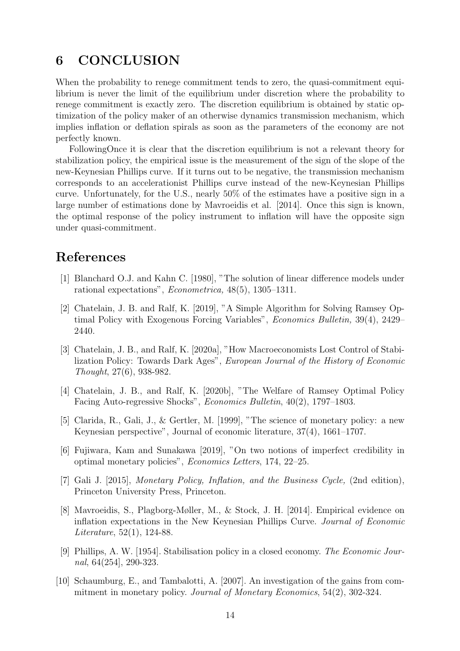## 6 CONCLUSION

When the probability to renege commitment tends to zero, the quasi-commitment equilibrium is never the limit of the equilibrium under discretion where the probability to renege commitment is exactly zero. The discretion equilibrium is obtained by static optimization of the policy maker of an otherwise dynamics transmission mechanism, which implies inflation or deflation spirals as soon as the parameters of the economy are not perfectly known.

FollowingOnce it is clear that the discretion equilibrium is not a relevant theory for stabilization policy, the empirical issue is the measurement of the sign of the slope of the new-Keynesian Phillips curve. If it turns out to be negative, the transmission mechanism corresponds to an accelerationist Phillips curve instead of the new-Keynesian Phillips curve. Unfortunately, for the U.S., nearly 50% of the estimates have a positive sign in a large number of estimations done by Mavroeidis et al. [2014]. Once this sign is known, the optimal response of the policy instrument to inflation will have the opposite sign under quasi-commitment.

## References

- [1] Blanchard O.J. and Kahn C. [1980], "The solution of linear difference models under rational expectations", *Econometrica,* 48(5), 1305–1311.
- [2] Chatelain, J. B. and Ralf, K. [2019], "A Simple Algorithm for Solving Ramsey Optimal Policy with Exogenous Forcing Variables", *Economics Bulletin,* 39(4), 2429– 2440.
- [3] Chatelain, J. B., and Ralf, K. [2020a], "How Macroeconomists Lost Control of Stabilization Policy: Towards Dark Ages", *European Journal of the History of Economic Thought*, 27(6), 938-982.
- [4] Chatelain, J. B., and Ralf, K. [2020b], "The Welfare of Ramsey Optimal Policy Facing Auto-regressive Shocks", *Economics Bulletin*, 40(2), 1797–1803.
- [5] Clarida, R., Gali, J., & Gertler, M. [1999], "The science of monetary policy: a new Keynesian perspective", Journal of economic literature, 37(4), 1661–1707.
- [6] Fujiwara, Kam and Sunakawa [2019], "On two notions of imperfect credibility in optimal monetary policies", *Economics Letters*, 174, 22–25.
- [7] Gali J. [2015], *Monetary Policy, Inflation, and the Business Cycle,* (2nd edition), Princeton University Press, Princeton.
- [8] Mavroeidis, S., Plagborg-Møller, M., & Stock, J. H. [2014]. Empirical evidence on inflation expectations in the New Keynesian Phillips Curve. *Journal of Economic Literature*, 52(1), 124-88.
- [9] Phillips, A. W. [1954]. Stabilisation policy in a closed economy. *The Economic Journal*, 64(254], 290-323.
- [10] Schaumburg, E., and Tambalotti, A. [2007]. An investigation of the gains from commitment in monetary policy. *Journal of Monetary Economics*, 54(2), 302-324.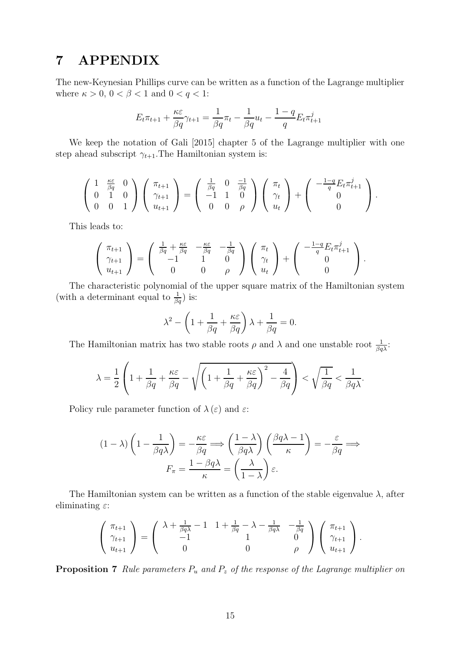## 7 APPENDIX

The new-Keynesian Phillips curve can be written as a function of the Lagrange multiplier where  $\kappa > 0$ ,  $0 < \beta < 1$  and  $0 < q < 1$ :

$$
E_t \pi_{t+1} + \frac{\kappa \varepsilon}{\beta q} \gamma_{t+1} = \frac{1}{\beta q} \pi_t - \frac{1}{\beta q} u_t - \frac{1-q}{q} E_t \pi_{t+1}^j
$$

We keep the notation of Gali [2015] chapter 5 of the Lagrange multiplier with one step ahead subscript  $\gamma_{t+1}$ . The Hamiltonian system is:

$$
\begin{pmatrix} 1 & \frac{\kappa \varepsilon}{\beta q} & 0 \\ 0 & 1 & 0 \\ 0 & 0 & 1 \end{pmatrix} \begin{pmatrix} \pi_{t+1} \\ \gamma_{t+1} \\ u_{t+1} \end{pmatrix} = \begin{pmatrix} \frac{1}{\beta q} & 0 & \frac{-1}{\beta q} \\ -1 & 1 & 0 \\ 0 & 0 & \rho \end{pmatrix} \begin{pmatrix} \pi_t \\ \gamma_t \\ u_t \end{pmatrix} + \begin{pmatrix} -\frac{1-q}{q} E_t \pi_{t+1}^j \\ 0 \\ 0 \end{pmatrix}.
$$

This leads to:

$$
\begin{pmatrix} \pi_{t+1} \\ \gamma_{t+1} \\ u_{t+1} \end{pmatrix} = \begin{pmatrix} \frac{1}{\beta q} + \frac{\kappa \varepsilon}{\beta q} & -\frac{\kappa \varepsilon}{\beta q} & -\frac{1}{\beta q} \\ -1 & 1 & 0 \\ 0 & 0 & \rho \end{pmatrix} \begin{pmatrix} \pi_t \\ \gamma_t \\ u_t \end{pmatrix} + \begin{pmatrix} -\frac{1-q}{q} E_t \pi_{t+1}^j \\ 0 \\ 0 \end{pmatrix}.
$$

The characteristic polynomial of the upper square matrix of the Hamiltonian system (with a determinant equal to  $\frac{1}{\beta q}$ ) is:

$$
\lambda^{2} - \left(1 + \frac{1}{\beta q} + \frac{\kappa \varepsilon}{\beta q}\right)\lambda + \frac{1}{\beta q} = 0.
$$

The Hamiltonian matrix has two stable roots  $\rho$  and  $\lambda$  and one unstable root  $\frac{1}{\beta q\lambda}$ :

$$
\lambda = \frac{1}{2} \left( 1 + \frac{1}{\beta q} + \frac{\kappa \varepsilon}{\beta q} - \sqrt{\left( 1 + \frac{1}{\beta q} + \frac{\kappa \varepsilon}{\beta q} \right)^2 - \frac{4}{\beta q}} \right) < \sqrt{\frac{1}{\beta q}} < \frac{1}{\beta q \lambda}.
$$

Policy rule parameter function of  $\lambda(\varepsilon)$  and  $\varepsilon$ :

$$
(1 - \lambda) \left(1 - \frac{1}{\beta q \lambda}\right) = -\frac{\kappa \varepsilon}{\beta q} \Longrightarrow \left(\frac{1 - \lambda}{\beta q \lambda}\right) \left(\frac{\beta q \lambda - 1}{\kappa}\right) = -\frac{\varepsilon}{\beta q} \Longrightarrow
$$

$$
F_{\pi} = \frac{1 - \beta q \lambda}{\kappa} = \left(\frac{\lambda}{1 - \lambda}\right) \varepsilon.
$$

The Hamiltonian system can be written as a function of the stable eigenvalue  $\lambda$ , after eliminating  $\varepsilon$ :

$$
\begin{pmatrix} \pi_{t+1} \\ \gamma_{t+1} \\ u_{t+1} \end{pmatrix} = \begin{pmatrix} \lambda + \frac{1}{\beta q \lambda} - 1 & 1 + \frac{1}{\beta q} - \lambda - \frac{1}{\beta q \lambda} & -\frac{1}{\beta q} \\ -1 & 1 & 0 \\ 0 & 0 & \rho \end{pmatrix} \begin{pmatrix} \pi_{t+1} \\ \gamma_{t+1} \\ u_{t+1} \end{pmatrix}.
$$

Proposition 7 *Rule parameters* P<sup>u</sup> *and* P<sup>z</sup> *of the response of the Lagrange multiplier on*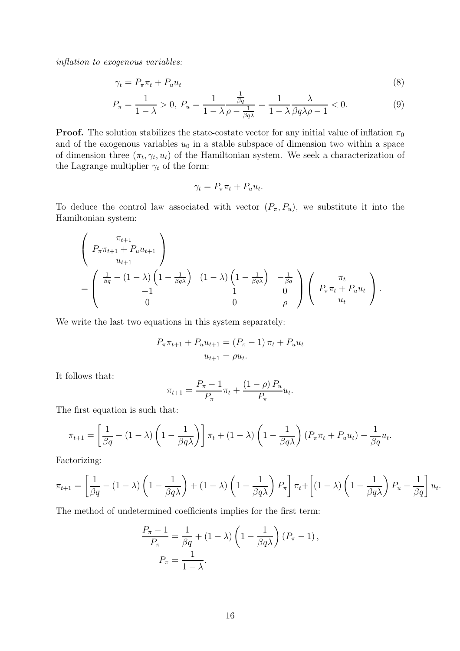*inflation to exogenous variables:*

$$
\gamma_t = P_\pi \pi_t + P_u u_t \tag{8}
$$

$$
P_{\pi} = \frac{1}{1 - \lambda} > 0, P_u = \frac{1}{1 - \lambda} \frac{\frac{1}{\beta q}}{\rho - \frac{1}{\beta q \lambda}} = \frac{1}{1 - \lambda} \frac{\lambda}{\beta q \lambda \rho - 1} < 0. \tag{9}
$$

**Proof.** The solution stabilizes the state-costate vector for any initial value of inflation  $\pi_0$ and of the exogenous variables  $u_0$  in a stable subspace of dimension two within a space of dimension three  $(\pi_t, \gamma_t, u_t)$  of the Hamiltonian system. We seek a characterization of the Lagrange multiplier  $\gamma_t$  of the form:

$$
\gamma_t = P_\pi \pi_t + P_u u_t.
$$

To deduce the control law associated with vector  $(P_{\pi}, P_{u})$ , we substitute it into the Hamiltonian system:

$$
\begin{pmatrix}\n\pi_{t+1} \\
P_{\pi}\pi_{t+1} + P_u u_{t+1} \\
u_{t+1} \\
\vdots \\
\pi_{t+1} \\
0\n\end{pmatrix}
$$
\n
$$
= \begin{pmatrix}\n\frac{1}{\beta q} - (1 - \lambda) \left(1 - \frac{1}{\beta q \lambda}\right) & (1 - \lambda) \left(1 - \frac{1}{\beta q \lambda}\right) & -\frac{1}{\beta q} \\
1 & 0 & 0 \\
0 & 0 & \rho\n\end{pmatrix} \begin{pmatrix}\n\pi_t \\
P_{\pi}\pi_t + P_u u_t \\
u_t\n\end{pmatrix}.
$$

We write the last two equations in this system separately:

$$
P_{\pi}\pi_{t+1} + P_{u}u_{t+1} = (P_{\pi} - 1)\pi_{t} + P_{u}u_{t}
$$

$$
u_{t+1} = \rho u_{t}.
$$

It follows that:

$$
\pi_{t+1} = \frac{P_{\pi} - 1}{P_{\pi}} \pi_t + \frac{(1 - \rho) P_u}{P_{\pi}} u_t.
$$

The first equation is such that:

$$
\pi_{t+1} = \left[\frac{1}{\beta q} - (1 - \lambda)\left(1 - \frac{1}{\beta q \lambda}\right)\right] \pi_t + (1 - \lambda)\left(1 - \frac{1}{\beta q \lambda}\right)\left(P_\pi \pi_t + P_u u_t\right) - \frac{1}{\beta q} u_t.
$$

Factorizing:

$$
\pi_{t+1} = \left[\frac{1}{\beta q} - (1-\lambda)\left(1 - \frac{1}{\beta q \lambda}\right) + (1-\lambda)\left(1 - \frac{1}{\beta q \lambda}\right)P_{\pi}\right]\pi_{t} + \left[(1-\lambda)\left(1 - \frac{1}{\beta q \lambda}\right)P_{u} - \frac{1}{\beta q}\right]u_{t}.
$$

The method of undetermined coefficients implies for the first term:

$$
\frac{P_{\pi} - 1}{P_{\pi}} = \frac{1}{\beta q} + (1 - \lambda) \left( 1 - \frac{1}{\beta q \lambda} \right) (P_{\pi} - 1),
$$
  

$$
P_{\pi} = \frac{1}{1 - \lambda}.
$$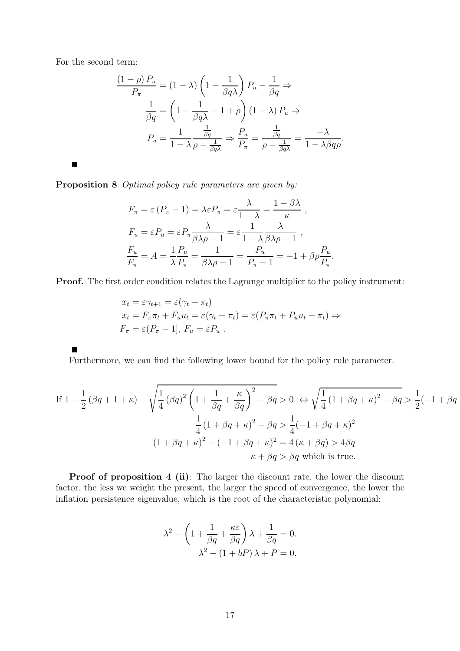For the second term:

$$
\frac{(1-\rho) P_u}{P_\pi} = (1-\lambda) \left(1 - \frac{1}{\beta q \lambda}\right) P_u - \frac{1}{\beta q} \Rightarrow
$$

$$
\frac{1}{\beta q} = \left(1 - \frac{1}{\beta q \lambda} - 1 + \rho\right) (1-\lambda) P_u \Rightarrow
$$

$$
P_u = \frac{1}{1-\lambda} \frac{\frac{1}{\beta q}}{\rho - \frac{1}{\beta q \lambda}} \Rightarrow \frac{P_u}{P_\pi} = \frac{\frac{1}{\beta q}}{\rho - \frac{1}{\beta q \lambda}} = \frac{-\lambda}{1-\lambda \beta q \rho}.
$$

 $\blacksquare$ 

Proposition 8 *Optimal policy rule parameters are given by:*

$$
F_{\pi} = \varepsilon (P_{\pi} - 1) = \lambda \varepsilon P_{\pi} = \varepsilon \frac{\lambda}{1 - \lambda} = \frac{1 - \beta \lambda}{\kappa} ,
$$
  
\n
$$
F_{u} = \varepsilon P_{u} = \varepsilon P_{\pi} \frac{\lambda}{\beta \lambda \rho - 1} = \varepsilon \frac{1}{1 - \lambda} \frac{\lambda}{\beta \lambda \rho - 1} ,
$$
  
\n
$$
\frac{F_{u}}{F_{\pi}} = A = \frac{1}{\lambda} \frac{P_{u}}{P_{\pi}} = \frac{1}{\beta \lambda \rho - 1} = \frac{P_{u}}{P_{\pi} - 1} = -1 + \beta \rho \frac{P_{u}}{P_{\pi}}
$$

Proof. The first order condition relates the Lagrange multiplier to the policy instrument:

.

$$
x_t = \varepsilon \gamma_{t+1} = \varepsilon (\gamma_t - \pi_t)
$$
  
\n
$$
x_t = F_{\pi} \pi_t + F_u u_t = \varepsilon (\gamma_t - \pi_t) = \varepsilon (P_{\pi} \pi_t + P_u u_t - \pi_t) \Rightarrow
$$
  
\n
$$
F_{\pi} = \varepsilon (P_{\pi} - 1], F_u = \varepsilon P_u.
$$

Furthermore, we can find the following lower bound for the policy rule parameter.

If 
$$
1 - \frac{1}{2} (\beta q + 1 + \kappa) + \sqrt{\frac{1}{4} (\beta q)^2 \left( 1 + \frac{1}{\beta q} + \frac{\kappa}{\beta q} \right)^2 - \beta q} > 0 \Leftrightarrow \sqrt{\frac{1}{4} (1 + \beta q + \kappa)^2 - \beta q} > \frac{1}{2} (-1 + \beta q + \kappa)^2
$$
  

$$
\frac{1}{4} (1 + \beta q + \kappa)^2 - \beta q > \frac{1}{4} (-1 + \beta q + \kappa)^2
$$

$$
(1 + \beta q + \kappa)^2 - (-1 + \beta q + \kappa)^2 = 4 (\kappa + \beta q) > 4\beta q
$$

$$
\kappa + \beta q > \beta q \text{ which is true.}
$$

Proof of proposition 4 (ii): The larger the discount rate, the lower the discount factor, the less we weight the present, the larger the speed of convergence, the lower the inflation persistence eigenvalue, which is the root of the characteristic polynomial:

$$
\lambda^{2} - \left(1 + \frac{1}{\beta q} + \frac{\kappa \varepsilon}{\beta q}\right)\lambda + \frac{1}{\beta q} = 0.
$$

$$
\lambda^{2} - (1 + bP)\lambda + P = 0.
$$